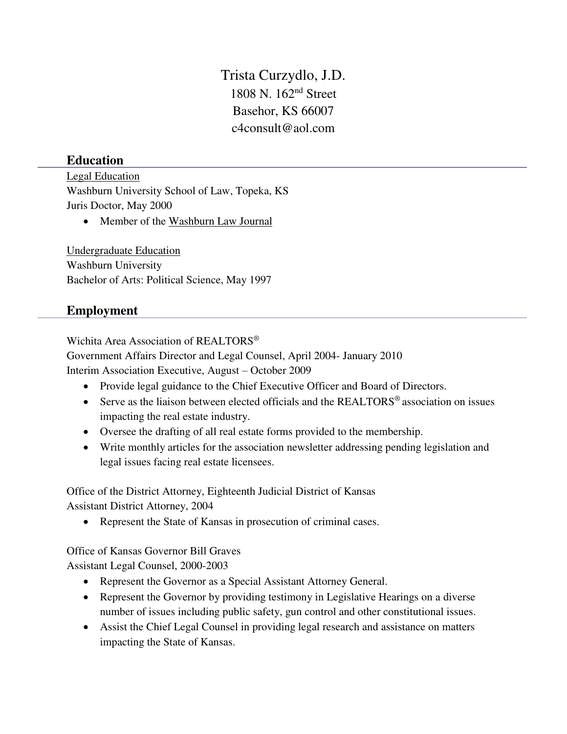Trista Curzydlo, J.D. 1808 N. 162nd Street Basehor, KS 66007 c4consult@aol.com

## **Education**

Legal Education Washburn University School of Law, Topeka, KS Juris Doctor, May 2000

• Member of the Washburn Law Journal

Undergraduate Education Washburn University Bachelor of Arts: Political Science, May 1997

## **Employment**

Wichita Area Association of REALTORS®

Government Affairs Director and Legal Counsel, April 2004- January 2010 Interim Association Executive, August – October 2009

- Provide legal guidance to the Chief Executive Officer and Board of Directors.
- Serve as the liaison between elected officials and the REALTORS<sup>®</sup> association on issues impacting the real estate industry.
- Oversee the drafting of all real estate forms provided to the membership.
- Write monthly articles for the association newsletter addressing pending legislation and legal issues facing real estate licensees.

Office of the District Attorney, Eighteenth Judicial District of Kansas Assistant District Attorney, 2004

• Represent the State of Kansas in prosecution of criminal cases.

Office of Kansas Governor Bill Graves

Assistant Legal Counsel, 2000-2003

- Represent the Governor as a Special Assistant Attorney General.
- Represent the Governor by providing testimony in Legislative Hearings on a diverse number of issues including public safety, gun control and other constitutional issues.
- Assist the Chief Legal Counsel in providing legal research and assistance on matters impacting the State of Kansas.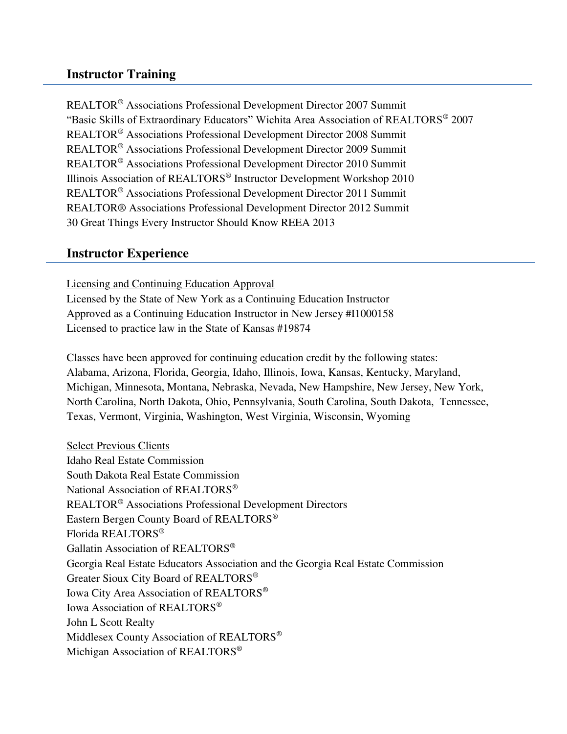## **Instructor Training**

REALTOR® Associations Professional Development Director 2007 Summit "Basic Skills of Extraordinary Educators" Wichita Area Association of REALTORS® 2007 REALTOR® Associations Professional Development Director 2008 Summit REALTOR® Associations Professional Development Director 2009 Summit REALTOR® Associations Professional Development Director 2010 Summit Illinois Association of REALTORS® Instructor Development Workshop 2010 REALTOR® Associations Professional Development Director 2011 Summit REALTOR® Associations Professional Development Director 2012 Summit 30 Great Things Every Instructor Should Know REEA 2013

## **Instructor Experience**

Licensing and Continuing Education Approval Licensed by the State of New York as a Continuing Education Instructor Approved as a Continuing Education Instructor in New Jersey #I1000158 Licensed to practice law in the State of Kansas #19874

Classes have been approved for continuing education credit by the following states: Alabama, Arizona, Florida, Georgia, Idaho, Illinois, Iowa, Kansas, Kentucky, Maryland, Michigan, Minnesota, Montana, Nebraska, Nevada, New Hampshire, New Jersey, New York, North Carolina, North Dakota, Ohio, Pennsylvania, South Carolina, South Dakota, Tennessee, Texas, Vermont, Virginia, Washington, West Virginia, Wisconsin, Wyoming

Select Previous Clients Idaho Real Estate Commission South Dakota Real Estate Commission National Association of REALTORS® REALTOR® Associations Professional Development Directors Eastern Bergen County Board of REALTORS® Florida REALTORS® Gallatin Association of REALTORS<sup>®</sup> Georgia Real Estate Educators Association and the Georgia Real Estate Commission Greater Sioux City Board of REALTORS® Iowa City Area Association of REALTORS® Iowa Association of REALTORS® John L Scott Realty Middlesex County Association of REALTORS® Michigan Association of REALTORS®